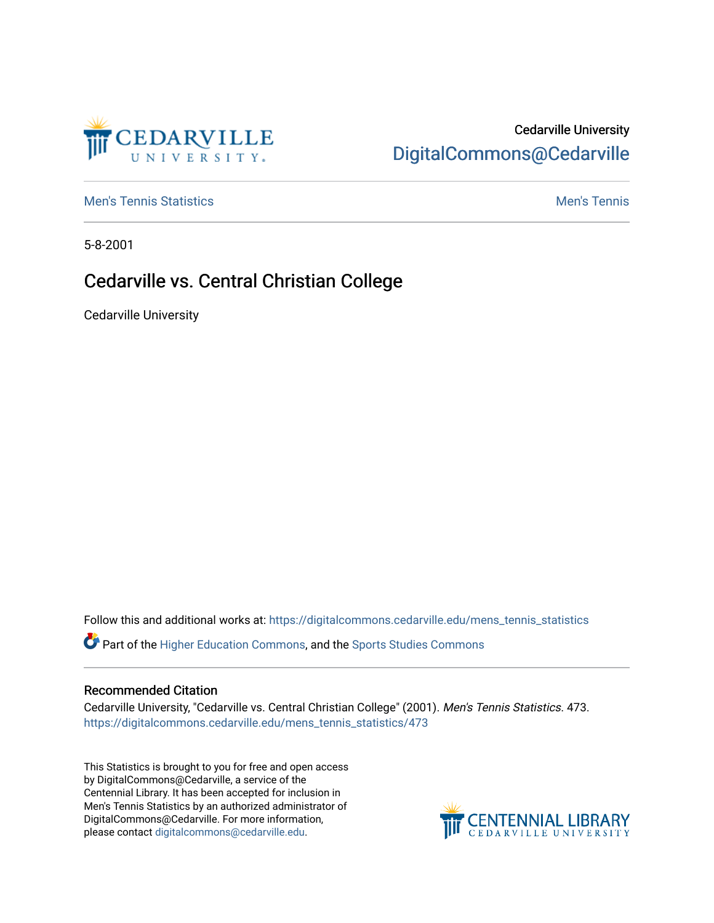# Cedarville University [DigitalCommons@Cedarville](https://digitalcommons.cedarville.edu/)

**[Men's Tennis Statistics](https://digitalcommons.cedarville.edu/mens_tennis_statistics) Men's Tennis** Men's Tennis

CEDARVILLE

5-8-2001

## Cedarville vs. Central Christian College

Cedarville University

Follow this and additional works at: [https://digitalcommons.cedarville.edu/mens\\_tennis\\_statistics](https://digitalcommons.cedarville.edu/mens_tennis_statistics?utm_source=digitalcommons.cedarville.edu%2Fmens_tennis_statistics%2F473&utm_medium=PDF&utm_campaign=PDFCoverPages)

Part of the [Higher Education Commons,](http://network.bepress.com/hgg/discipline/1245?utm_source=digitalcommons.cedarville.edu%2Fmens_tennis_statistics%2F473&utm_medium=PDF&utm_campaign=PDFCoverPages) and the [Sports Studies Commons](http://network.bepress.com/hgg/discipline/1198?utm_source=digitalcommons.cedarville.edu%2Fmens_tennis_statistics%2F473&utm_medium=PDF&utm_campaign=PDFCoverPages) 

#### Recommended Citation

Cedarville University, "Cedarville vs. Central Christian College" (2001). Men's Tennis Statistics. 473. [https://digitalcommons.cedarville.edu/mens\\_tennis\\_statistics/473](https://digitalcommons.cedarville.edu/mens_tennis_statistics/473?utm_source=digitalcommons.cedarville.edu%2Fmens_tennis_statistics%2F473&utm_medium=PDF&utm_campaign=PDFCoverPages) 

This Statistics is brought to you for free and open access by DigitalCommons@Cedarville, a service of the Centennial Library. It has been accepted for inclusion in Men's Tennis Statistics by an authorized administrator of DigitalCommons@Cedarville. For more information, please contact [digitalcommons@cedarville.edu](mailto:digitalcommons@cedarville.edu).